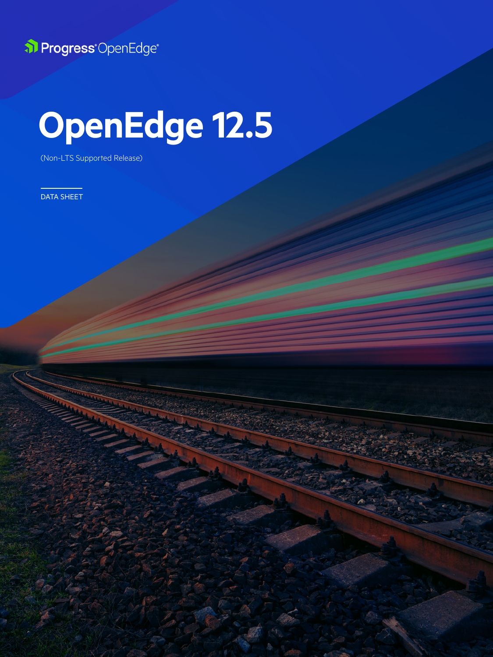

# **OpenEdge 12.5**

1 © 2021 Progress. All Rights Reserved.

(Non-LTS Supported Release)

DATA SHEET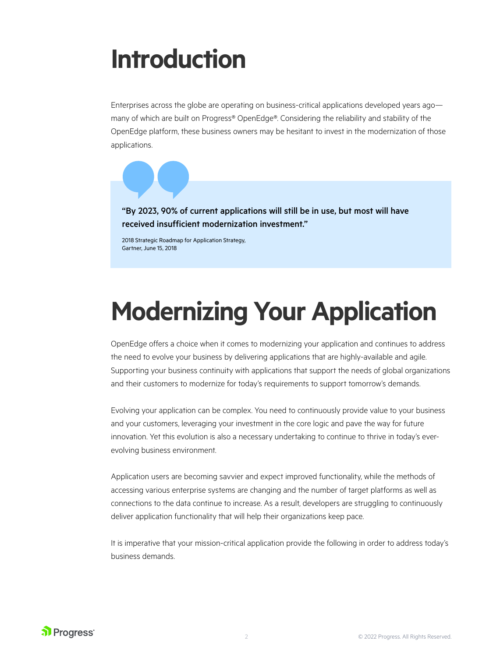## **Introduction**

Enterprises across the globe are operating on business-critical applications developed years ago many of which are built on Progress® OpenEdge®. Considering the reliability and stability of the OpenEdge platform, these business owners may be hesitant to invest in the modernization of those applications.

"By 2023, 90% of current applications will still be in use, but most will have received insufficient modernization investment."

2018 Strategic Roadmap for Application Strategy, Gartner, June 15, 2018

## **Modernizing Your Application**

OpenEdge offers a choice when it comes to modernizing your application and continues to address the need to evolve your business by delivering applications that are highly-available and agile. Supporting your business continuity with applications that support the needs of global organizations and their customers to modernize for today's requirements to support tomorrow's demands.

Evolving your application can be complex. You need to continuously provide value to your business and your customers, leveraging your investment in the core logic and pave the way for future innovation. Yet this evolution is also a necessary undertaking to continue to thrive in today's everevolving business environment.

Application users are becoming savvier and expect improved functionality, while the methods of accessing various enterprise systems are changing and the number of target platforms as well as connections to the data continue to increase. As a result, developers are struggling to continuously deliver application functionality that will help their organizations keep pace.

It is imperative that your mission-critical application provide the following in order to address today's business demands.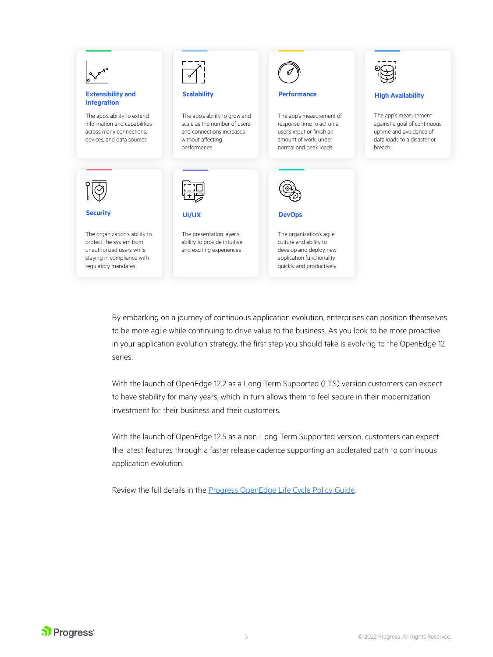

By embarking on a journey of continuous application evolution, enterprises can position themselves to be more agile while continuing to drive value to the business. As you look to be more proactive in your application evolution strategy, the first step you should take is evolving to the OpenEdge 12 series.

With the launch of OpenEdge 12.2 as a Long-Term Supported (LTS) version customers can expect to have stability for many years, which in turn allows them to feel secure in their modernization investment for their business and their customers.

With the launch of OpenEdge 12.5 as a non-Long Term Supported version, customers can expect the latest features through a faster release cadence supporting an acclerated path to continuous application evolution.

Review the full details in the [Progress OpenEdge Life Cycle Policy Guide.](https://docs.progress.com/bundle/OpenEdge-Product-Lifecycle/resource/OpenEdge-Product-Lifecycle.pdf)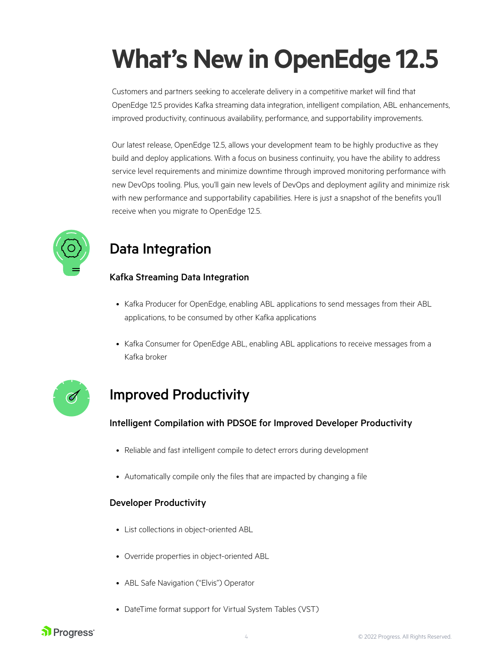## **What's New in OpenEdge 12.5**

Customers and partners seeking to accelerate delivery in a competitive market will find that OpenEdge 12.5 provides Kafka streaming data integration, intelligent compilation, ABL enhancements, improved productivity, continuous availability, performance, and supportability improvements.

Our latest release, OpenEdge 12.5, allows your development team to be highly productive as they build and deploy applications. With a focus on business continuity, you have the ability to address service level requirements and minimize downtime through improved monitoring performance with new DevOps tooling. Plus, you'll gain new levels of DevOps and deployment agility and minimize risk with new performance and supportability capabilities. Here is just a snapshot of the benefits you'll receive when you migrate to OpenEdge 12.5.



## Data Integration

### Kafka Streaming Data Integration

- Kafka Producer for OpenEdge, enabling ABL applications to send messages from their ABL applications, to be consumed by other Kafka applications
- Kafka Consumer for OpenEdge ABL, enabling ABL applications to receive messages from a Kafka broker



## Improved Productivity

### Intelligent Compilation with PDSOE for Improved Developer Productivity

- Reliable and fast intelligent compile to detect errors during development
- Automatically compile only the files that are impacted by changing a file

#### Developer Productivity

- List collections in object-oriented ABL
- Override properties in object-oriented ABL
- ABL Safe Navigation ("Elvis") Operator
- DateTime format support for Virtual System Tables (VST)

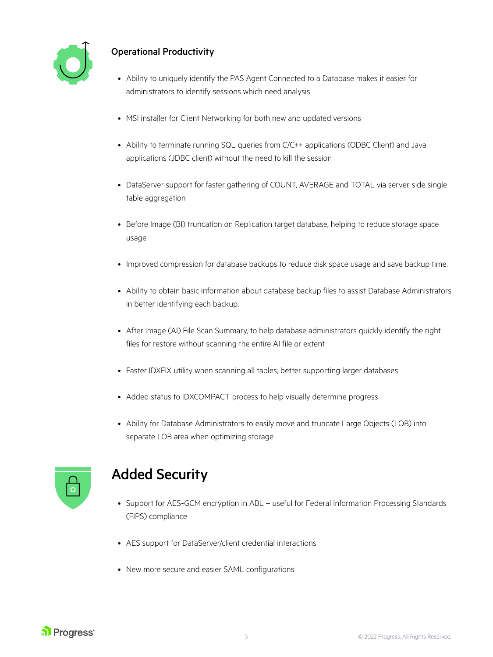

### Operational Productivity

- Ability to uniquely identify the PAS Agent Connected to a Database makes it easier for administrators to identify sessions which need analysis
- MSI installer for Client Networking for both new and updated versions
- Ability to terminate running SQL queries from C/C++ applications (ODBC Client) and Java applications (JDBC client) without the need to kill the session
- DataServer support for faster gathering of COUNT, AVERAGE and TOTAL via server-side single table aggregation
- Before Image (BI) truncation on Replication target database, helping to reduce storage space usage
- Improved compression for database backups to reduce disk space usage and save backup time.
- Ability to obtain basic information about database backup files to assist Database Administrators in better identifying each backup.
- After Image (AI) File Scan Summary, to help database administrators quickly identify the right files for restore without scanning the entire AI file or extent
- Faster IDXFIX utility when scanning all tables, better supporting larger databases
- Added status to IDXCOMPACT process to help visually determine progress
- Ability for Database Administrators to easily move and truncate Large Objects (LOB) into separate LOB area when optimizing storage



### Added Security

- Support for AES-GCM encryption in ABL useful for Federal Information Processing Standards (FIPS) compliance
- AES support for DataServer/client credential interactions
- New more secure and easier SAML configurations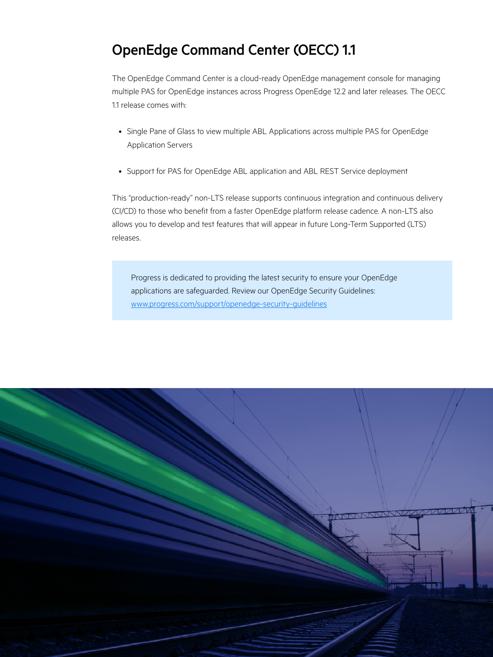### OpenEdge Command Center (OECC) 1.1

The OpenEdge Command Center is a cloud-ready OpenEdge management console for managing multiple PAS for OpenEdge instances across Progress OpenEdge 12.2 and later releases. The OECC 1.1 release comes with:

- Single Pane of Glass to view multiple ABL Applications across multiple PAS for OpenEdge Application Servers
- Support for PAS for OpenEdge ABL application and ABL REST Service deployment

This "production-ready" non-LTS release supports continuous integration and continuous delivery (CI/CD) to those who benefit from a faster OpenEdge platform release cadence. A non-LTS also allows you to develop and test features that will appear in future Long-Term Supported (LTS) releases.

Progress is dedicated to providing the latest security to ensure your OpenEdge applications are safeguarded. Review our OpenEdge Security Guidelines: www.[progress.com/support/openedge-security-guidelines](https://www.progress.com/support/openedge-security-guidelines)

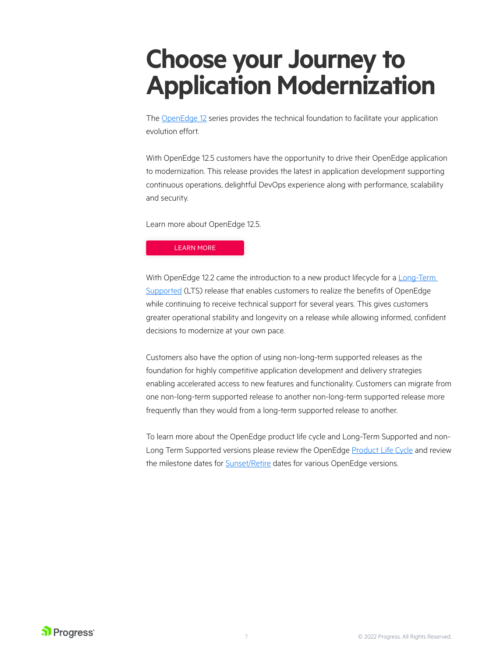## **Choose your Journey to Application Modernization**

The [OpenEdge 12](https://www.progress.com/openedge) series provides the technical foundation to facilitate your application evolution effort.

With OpenEdge 12.5 customers have the opportunity to drive their OpenEdge application to modernization. This release provides the latest in application development supporting continuous operations, delightful DevOps experience along with performance, scalability and security.

Learn more about [OpenEdge 12.5.](https://www.progress.com/openedge/whats-new)

[LEARN MORE](https://www.progress.com/openedge/whats-new)

With OpenEdge 12.2 came the introduction to a new product lifecycle for a Long-Term [Supported](https://docs.progress.com/bundle/OpenEdge-Product-Lifecycle/resource/OpenEdge-Product-Lifecycle.pdf?utm_medium=email&utm_source=eloqua&elqTrackId=96b8b7607f834502b9f566970d981775&elq=56f8a84b36f644a98e287421c25446d9&elqaid=22503&elqat=1&elqCampaignId=) (LTS) release that enables customers to realize the benefits of OpenEdge while continuing to receive technical support for several years. This gives customers greater operational stability and longevity on a release while allowing informed, confident decisions to modernize at your own pace.

Customers also have the option of using non-long-term supported releases as the foundation for highly competitive application development and delivery strategies enabling accelerated access to new features and functionality. Customers can migrate from one non-long-term supported release to another non-long-term supported release more frequently than they would from a long-term supported release to another.

To learn more about the OpenEdge product life cycle and Long-Term Supported and non-Long Term Supported versions please review the OpenEdge [Product Life Cycle](https://docs.progress.com/bundle/OpenEdge-Product-Lifecycle/resource/OpenEdge-Product-Lifecycle.pdf?utm_medium=email&utm_source=eloqua&elqTrackId=96b8b7607f834502b9f566970d981775&elq=56f8a84b36f644a98e287421c25446d9&elqaid=22503&elqat=1&elqCampaignId=) and review the milestone dates for **[Sunset/Retire](https://docs.progress.com/bundle/openedge-life-cycle/page/OpenEdge-Life-Cycle.html?utm_medium=email&utm_source=eloqua&elqTrackId=d3c668653dd041fa8f4317e4ce32dc59&elq=56f8a84b36f644a98e287421c25446d9&elqaid=22503&elqat=1&elqCampaignId=)** dates for various OpenEdge versions.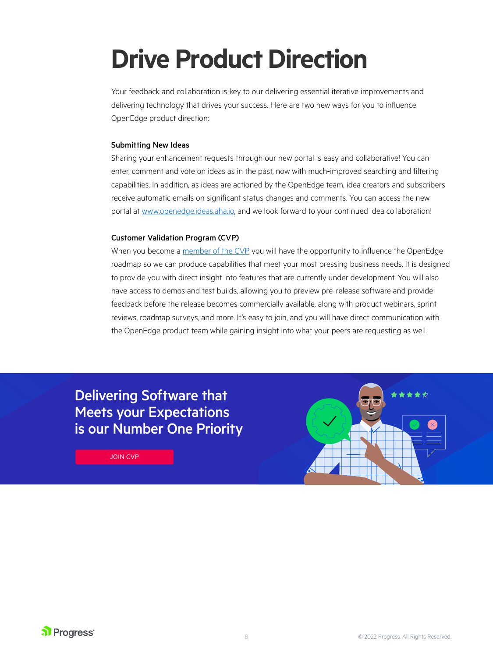## **Drive Product Direction**

Your feedback and collaboration is key to our delivering essential iterative improvements and delivering technology that drives your success. Here are two new ways for you to influence OpenEdge product direction:

#### Submitting New Ideas

Sharing your enhancement requests through our new portal is easy and collaborative! You can enter, comment and vote on ideas as in the past, now with much-improved searching and filtering capabilities. In addition, as ideas are actioned by the OpenEdge team, idea creators and subscribers receive automatic emails on significant status changes and comments. You can access the new portal at [www.openedge.ideas.aha.io](http://www.openedge.ideas.aha.io), and we look forward to your continued idea collaboration!

#### Customer Validation Program (CVP)

When you become a [member of the CVP](https://www.progress.com/openedge/customer-validation-program) you will have the opportunity to influence the OpenEdge roadmap so we can produce capabilities that meet your most pressing business needs. It is designed to provide you with direct insight into features that are currently under development. You will also have access to demos and test builds, allowing you to preview pre-release software and provide feedback before the release becomes commercially available, along with product webinars, sprint reviews, roadmap surveys, and more. It's easy to join, and you will have direct communication with the OpenEdge product team while gaining insight into what your peers are requesting as well.

### Delivering Software that Meets your Expectations [is our Number One Priority](https://www.progress.com/openedge/customer-validation-program)

JOIN CVP